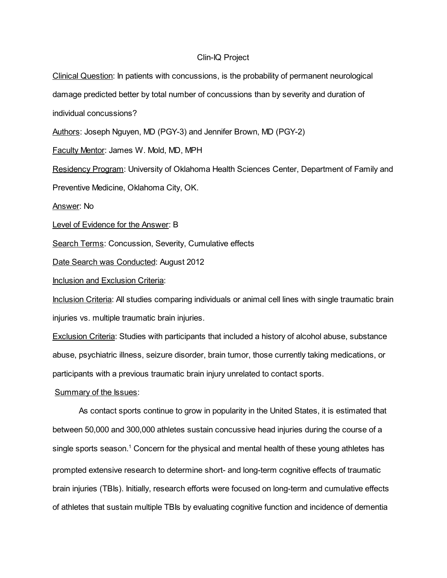### Clin-IQ Project

Clinical Question: In patients with concussions, is the probability of permanent neurological damage predicted better by total number of concussions than by severity and duration of individual concussions? Authors: Joseph Nguyen, MD (PGY-3) and Jennifer Brown, MD (PGY-2) Faculty Mentor: James W. Mold, MD, MPH Residency Program: University of Oklahoma Health Sciences Center, Department of Family and Preventive Medicine, Oklahoma City, OK. Answer: No Level of Evidence for the Answer: B Search Terms: Concussion, Severity, Cumulative effects Date Search was Conducted: August 2012 Inclusion and Exclusion Criteria: Inclusion Criteria: All studies comparing individuals or animal cell lines with single traumatic brain injuries vs. multiple traumatic brain injuries. Exclusion Criteria: Studies with participants that included a history of alcohol abuse, substance abuse, psychiatric illness, seizure disorder, brain tumor, those currently taking medications, or participants with a previous traumatic brain injury unrelated to contact sports.

### Summary of the Issues:

As contact sports continue to grow in popularity in the United States, it is estimated that between 50,000 and 300,000 athletes sustain concussive head injuries during the course of a single sports season.<sup>1</sup> Concern for the physical and mental health of these young athletes has prompted extensive research to determine short- and long-term cognitive effects of traumatic brain injuries (TBIs). Initially, research efforts were focused on long-term and cumulative effects of athletes that sustain multiple TBIs by evaluating cognitive function and incidence of dementia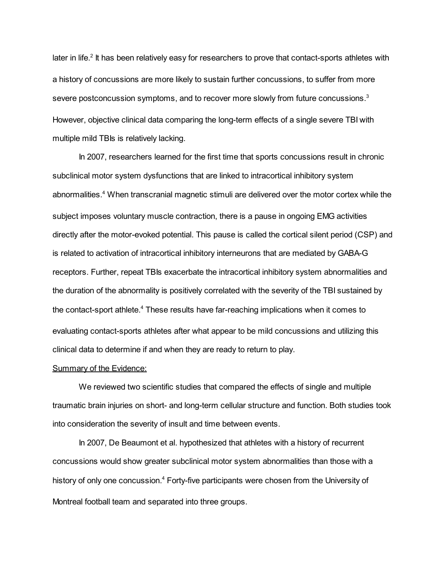later in life.<sup>2</sup> It has been relatively easy for researchers to prove that contact-sports athletes with a history of concussions are more likely to sustain further concussions, to suffer from more severe postconcussion symptoms, and to recover more slowly from future concussions. $3$ However, objective clinical data comparing the long-term effects of a single severe TBI with multiple mild TBIs is relatively lacking.

In 2007, researchers learned for the first time that sports concussions result in chronic subclinical motor system dysfunctions that are linked to intracortical inhibitory system abnormalities. <sup>4</sup> When transcranial magnetic stimuli are delivered over the motor cortex while the subject imposes voluntary muscle contraction, there is a pause in ongoing EMG activities directly after the motor-evoked potential. This pause is called the cortical silent period (CSP) and is related to activation of intracortical inhibitory interneurons that are mediated by GABA-G receptors. Further, repeat TBIs exacerbate the intracortical inhibitory system abnormalities and the duration of the abnormality is positively correlated with the severity of the TBI sustained by the contact-sport athlete.<sup>4</sup> These results have far-reaching implications when it comes to evaluating contact-sports athletes after what appear to be mild concussions and utilizing this clinical data to determine if and when they are ready to return to play.

#### Summary of the Evidence:

We reviewed two scientific studies that compared the effects of single and multiple traumatic brain injuries on short- and long-term cellular structure and function. Both studies took into consideration the severity of insult and time between events.

In 2007, De Beaumont et al. hypothesized that athletes with a history of recurrent concussions would show greater subclinical motor system abnormalities than those with a history of only one concussion.<sup>4</sup> Forty-five participants were chosen from the University of Montreal football team and separated into three groups.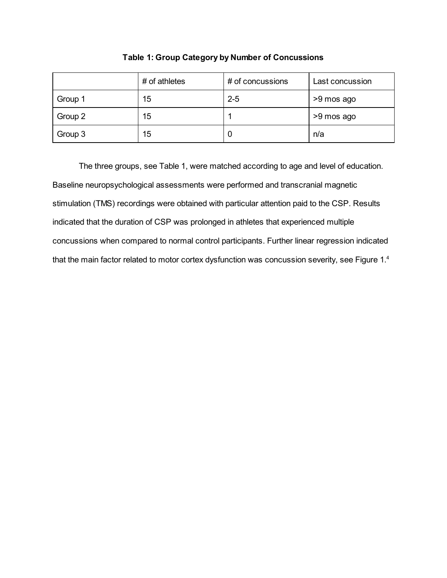|         | # of athletes | # of concussions | Last concussion |
|---------|---------------|------------------|-----------------|
| Group 1 | 15            | $2 - 5$          | >9 mos ago      |
| Group 2 | 15            |                  | >9 mos ago      |
| Group 3 | 15            | U                | n/a             |

Table 1: Group Category by Number of Concussions

The three groups, see Table 1, were matched according to age and level of education. Baseline neuropsychological assessments were performed and transcranial magnetic stimulation (TMS) recordings were obtained with particular attention paid to the CSP. Results indicated that the duration of CSP was prolonged in athletes that experienced multiple concussions when compared to normal control participants. Further linear regression indicated that the main factor related to motor cortex dysfunction was concussion severity, see Figure 1.<sup>4</sup>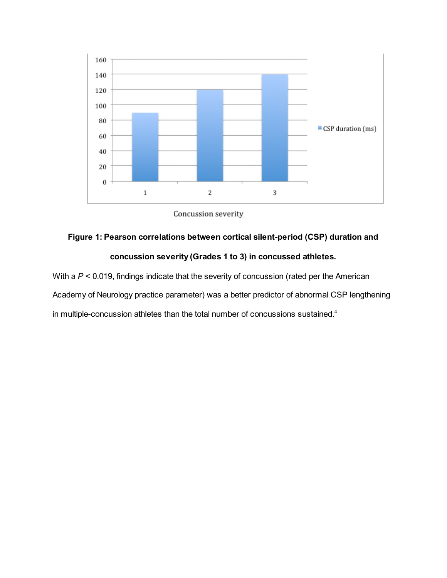



# Figure 1: Pearson correlations between cortical silent-period (CSP) duration and

## concussion severity (Grades 1 to 3) in concussed athletes.

With a  $P < 0.019$ , findings indicate that the severity of concussion (rated per the American Academy of Neurology practice parameter) was a better predictor of abnormal CSP lengthening in multiple-concussion athletes than the total number of concussions sustained. 4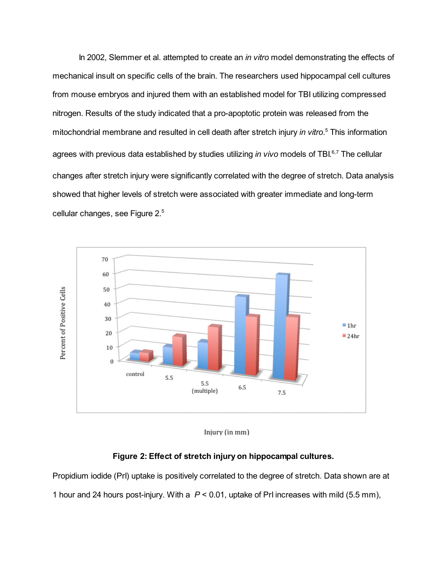In 2002, Slemmer et al. attempted to create an *in vitro* model demonstrating the effects of mechanical insult on specific cells of the brain. The researchers used hippocampal cell cultures from mouse embryos and injured them with an established model for TBI utilizing compressed nitrogen. Results of the study indicated that a pro-apoptotic protein was released from the mitochondrial membrane and resulted in cell death after stretch injury in vitro.<sup>5</sup> This information agrees with previous data established by studies utilizing *in vivo* models of TBI.<sup>6,7</sup> The cellular changes after stretch injury were significantly correlated with the degree of stretch. Data analysis showed that higher levels of stretch were associated with greater immediate and long-term cellular changes, see Figure 2. 5



Injury (in mm)

### Figure 2: Effect of stretch injury on hippocampal cultures.

Propidium iodide (PrI) uptake is positively correlated to the degree of stretch. Data shown are at 1 hour and 24 hours post-injury. With a  $P < 0.01$ , uptake of PrI increases with mild (5.5 mm),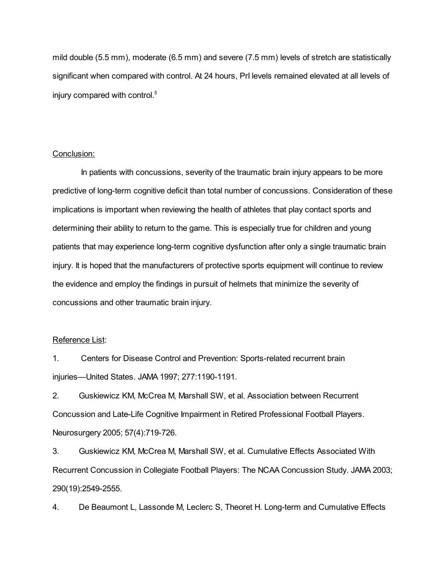mild double (5.5 mm), moderate (6.5 mm) and severe (7.5 mm) levels of stretch are statistically significant when compared with control. At 24 hours, PrI levels remained elevated at all levels of injury compared with control. 5

### Conclusion:

In patients with concussions, severity of the traumatic brain injury appears to be more predictive of long-term cognitive deficit than total number of concussions. Consideration of these implications is important when reviewing the health of athletes that play contact sports and determining their ability to return to the game. This is especially true for children and young patients that may experience long-term cognitive dysfunction after only a single traumatic brain injury. It is hoped that the manufacturers of protective sports equipment will continue to review the evidence and employ the findings in pursuit of helmets that minimize the severity of concussions and other traumatic brain injury.

### Reference List:

1. Centers for Disease Control and Prevention: Sports-related recurrent brain injuries—United States. JAMA 1997; 277:1190-1191.

2. Guskiewicz KM, McCrea M, Marshall SW, et al. Association between Recurrent Concussion and Late-Life Cognitive Impairment in Retired Professional Football Players. Neurosurgery 2005; 57(4):719-726.

3. Guskiewicz KM, McCrea M, Marshall SW, et al. Cumulative Effects Associated With Recurrent Concussion in Collegiate Football Players: The NCAA Concussion Study. JAMA 2003; 290(19):2549-2555.

4. De Beaumont L, Lassonde M, Leclerc S, Theoret H. Long-term and Cumulative Effects